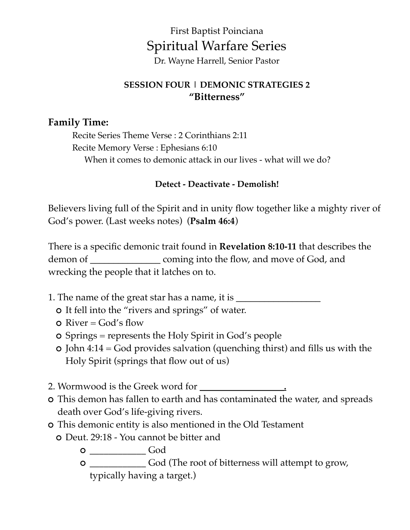# First Baptist Poinciana Spiritual Warfare Series

Dr. Wayne Harrell, Senior Pastor

#### **SESSION FOUR | DEMONIC STRATEGIES 2 "Bitterness"**

#### **Family Time:**

Recite Series Theme Verse : 2 Corinthians 2:11 Recite Memory Verse : Ephesians 6:10 When it comes to demonic attack in our lives - what will we do?

#### **Detect - Deactivate - Demolish!**

Believers living full of the Spirit and in unity flow together like a mighty river of God's power. (Last weeks notes) (**Psalm 46:4**)

There is a specific demonic trait found in **Revelation 8:10-11** that describes the demon of **\_\_\_\_\_\_\_\_\_\_\_\_\_\_\_** coming into the flow, and move of God, and wrecking the people that it latches on to.

- 1. The name of the great star has a name, it is \_\_\_\_\_\_\_\_\_\_\_\_\_\_\_\_\_\_\_\_\_\_\_\_\_\_\_\_\_\_\_\_
	- It fell into the "rivers and springs" of water.
	- $\Omega$  River = God's flow
	- Springs = represents the Holy Spirit in God's people
	- $\circ$  John 4:14 = God provides salvation (quenching thirst) and fills us with the Holy Spirit (springs that flow out of us)
- 2. Wormwood is the Greek word for \_\_\_\_\_\_\_\_\_\_\_\_\_\_\_\_\_\_**.**
- This demon has fallen to earth and has contaminated the water, and spreads death over God's life-giving rivers.
- This demonic entity is also mentioned in the Old Testament Deut. 29:18 - You cannot be bitter and
	- 0 \_\_\_\_\_\_\_\_\_\_\_\_\_\_\_\_\_\_\_\_\_God
	- \_\_\_\_\_\_\_\_\_\_\_\_ God (The root of bitterness will attempt to grow, typically having a target.)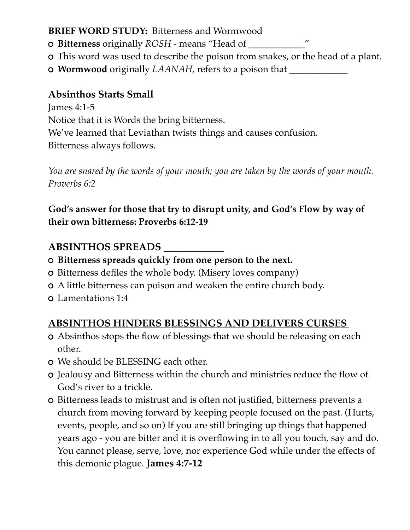#### **BRIEF WORD STUDY: Bitterness and Wormwood**

**Bitterness** originally *ROSH* - means "Head of **\_\_\_\_\_\_\_\_\_\_\_\_**"

- This word was used to describe the poison from snakes, or the head of a plant.
- **Wormwood** originally *LAANAH*, refers to a poison that **\_\_\_\_\_\_\_\_\_\_\_\_**

## **Absinthos Starts Small**

James 4:1-5 Notice that it is Words the bring bitterness. We've learned that Leviathan twists things and causes confusion. Bitterness always follows.

*You are snared by the words of your mouth; you are taken by the words of your mouth. Proverbs 6:2*

**God's answer for those that try to disrupt unity, and God's Flow by way of their own bitterness: Proverbs 6:12-19**

### **ABSINTHOS SPREADS \_\_\_\_\_\_\_\_\_\_\_\_**

- **Bitterness spreads quickly from one person to the next.**
- Bitterness defiles the whole body. (Misery loves company)
- A little bitterness can poison and weaken the entire church body.
- Lamentations 1:4

# **ABSINTHOS HINDERS BLESSINGS AND DELIVERS CURSES**

- Absinthos stops the flow of blessings that we should be releasing on each other.
- We should be BLESSING each other.
- Jealousy and Bitterness within the church and ministries reduce the flow of God's river to a trickle.
- Bitterness leads to mistrust and is often not justified, bitterness prevents a church from moving forward by keeping people focused on the past. (Hurts, events, people, and so on) If you are still bringing up things that happened years ago - you are bitter and it is overflowing in to all you touch, say and do. You cannot please, serve, love, nor experience God while under the effects of this demonic plague. **James 4:7-12**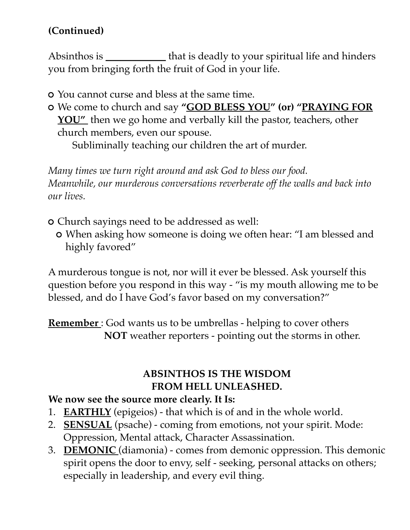# **(Continued)**

Absinthos is **\_\_\_\_\_\_\_\_\_\_\_\_** that is deadly to your spiritual life and hinders you from bringing forth the fruit of God in your life.

- You cannot curse and bless at the same time.
- We come to church and say **"GOD BLESS YOU" (or) "PRAYING FOR**  YOU" then we go home and verbally kill the pastor, teachers, other church members, even our spouse.

Subliminally teaching our children the art of murder.

*Many times we turn right around and ask God to bless our food. Meanwhile, our murderous conversations reverberate off the walls and back into our lives.*

- Church sayings need to be addressed as well:
	- When asking how someone is doing we often hear: "I am blessed and highly favored"

A murderous tongue is not, nor will it ever be blessed. Ask yourself this question before you respond in this way - "is my mouth allowing me to be blessed, and do I have God's favor based on my conversation?"

**Remember** : God wants us to be umbrellas - helping to cover others **NOT** weather reporters - pointing out the storms in other.

# **ABSINTHOS IS THE WISDOM FROM HELL UNLEASHED.**

# **We now see the source more clearly. It Is:**

- 1. **EARTHLY** (epigeios) that which is of and in the whole world.
- 2. **SENSUAL** (psache) coming from emotions, not your spirit. Mode: Oppression, Mental attack, Character Assassination.
- 3. **DEMONIC** (diamonia) comes from demonic oppression. This demonic spirit opens the door to envy, self - seeking, personal attacks on others; especially in leadership, and every evil thing.